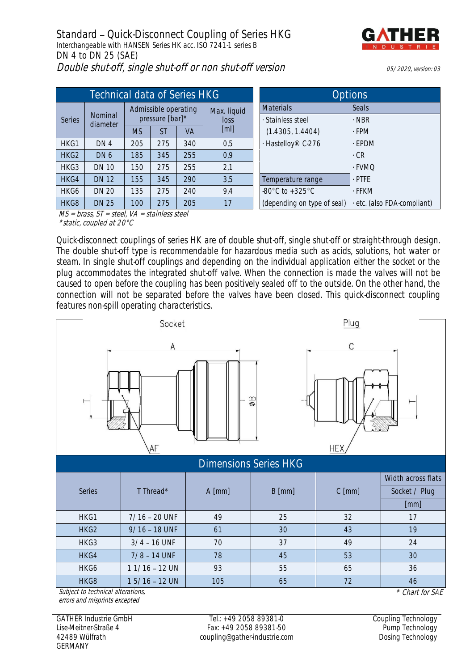

|        | Technical data of Series HKG |                                         |     |           | <b>Options</b>      |                                       |                           |
|--------|------------------------------|-----------------------------------------|-----|-----------|---------------------|---------------------------------------|---------------------------|
| Series | Nominal<br>diameter          | Admissible operating<br>pressure [bar]* |     |           | Max. liquid<br>loss | <b>Materials</b><br>· Stainless steel | Seals<br>$\cdot$ NBR      |
|        |                              | <b>MS</b>                               | ST  | <b>VA</b> | [ml]                | (1.4305, 1.4404)                      | $-FPM$                    |
| HKG1   | DN 4                         | 205                                     | 275 | 340       | 0,5                 | - Hastelloy® C-276                    | · EPDM                    |
| HKG2   | DN <sub>6</sub>              | 185                                     | 345 | 255       | 0,9                 |                                       | $\cdot$ CR                |
| HKG3   | <b>DN 10</b>                 | 150                                     | 275 | 255       | 2,1                 |                                       | · FVMQ                    |
| HKG4   | <b>DN 12</b>                 | 155                                     | 345 | 290       | 3,5                 | Temperature range                     | $.$ PTFE                  |
| HKG6   | <b>DN 20</b>                 | 135                                     | 275 | 240       | 9,4                 | $-80^{\circ}$ C to $+325^{\circ}$ C   | · FFKM                    |
| HKG8   | <b>DN 25</b>                 | 100                                     | 275 | 205       | 17                  | (depending on type of seal)           | etc. (also FDA-compliant) |

| Options                             |                           |  |  |  |  |  |
|-------------------------------------|---------------------------|--|--|--|--|--|
| <b>Materials</b>                    | Seals                     |  |  |  |  |  |
| · Stainless steel                   | · NBR                     |  |  |  |  |  |
| (1.4305, 1.4404)                    | $-FPM$                    |  |  |  |  |  |
| · Hastelloy® C-276                  | $-FPDM$                   |  |  |  |  |  |
|                                     | . CR                      |  |  |  |  |  |
|                                     | - FVMO                    |  |  |  |  |  |
| Temperature range                   | . PTFF                    |  |  |  |  |  |
| $-80^{\circ}$ C to $+325^{\circ}$ C | . FFKM                    |  |  |  |  |  |
| (depending on type of seal)         | etc. (also FDA-compliant) |  |  |  |  |  |

 $MS = brass, ST = steel, VA = stainless steel$ \*static, coupled at 20°C

Quick-disconnect couplings of series HK are of double shut-off, single shut-off or straight-through design. The double shut-off type is recommendable for hazardous media such as acids, solutions, hot water or steam. In single shut-off couplings and depending on the individual application either the socket or the plug accommodates the integrated shut-off valve. When the connection is made the valves will not be caused to open before the coupling has been positively sealed off to the outside. On the other hand, the connection will not be separated before the valves have been closed. This quick-disconnect coupling features non-spill operating characteristics.



|                                                      |                 | $A$ [mm] | $B$ [mm] | $C$ [mm] | Width across flats |  |  |  |  |
|------------------------------------------------------|-----------------|----------|----------|----------|--------------------|--|--|--|--|
| <b>Series</b>                                        | T Thread*       |          |          |          | Socket / Plug      |  |  |  |  |
|                                                      |                 |          |          |          | [mm]               |  |  |  |  |
| HKG1                                                 | $7/16 - 20$ UNF | 49       | 25       | 32       | 17                 |  |  |  |  |
| HKG <sub>2</sub>                                     | $9/16 - 18$ UNF | 61       | 30       | 43       | 19                 |  |  |  |  |
| HKG3                                                 | $3/4 - 16$ UNF  | 70       | 37       | 49       | 24                 |  |  |  |  |
| HKG4                                                 | $7/8 - 14$ UNF  | 78       | 45       | 53       | 30                 |  |  |  |  |
| HKG6                                                 | $11/16 - 12$ UN | 93       | 55       | 65       | 36                 |  |  |  |  |
| HKG8                                                 | $15/16 - 12$ UN | 105      | 65       | 72       | 46                 |  |  |  |  |
| Subject to technical alterations,<br>* Chart for SAF |                 |          |          |          |                    |  |  |  |  |

Subject to technical alterations, errors and misprints excepted

GATHER Industrie GmbH Lise-Meitner-Straße 4 42489 Wülfrath GERMANY

Tel.: +49 2058 89381-0 Fax: +49 2058 89381-50 coupling@gather-industrie.com